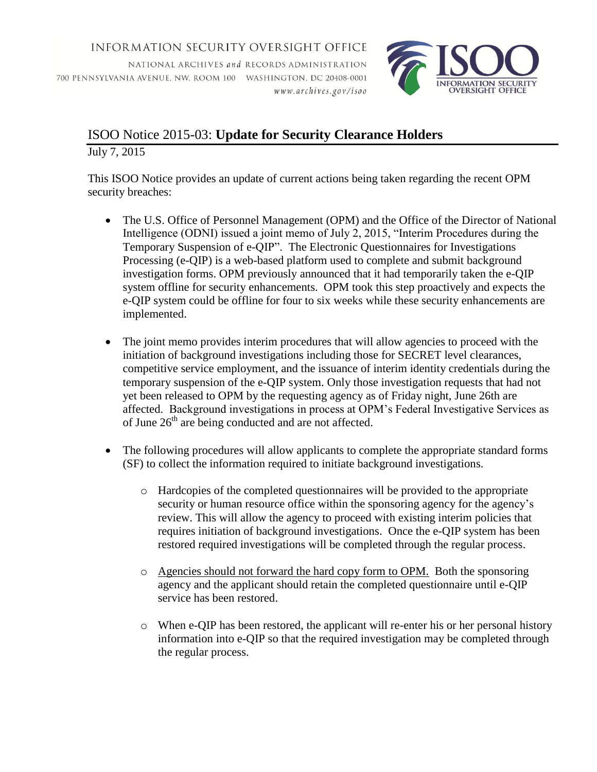**INFORMATION SECURITY OVERSIGHT OFFICE** 

NATIONAL ARCHIVES and RECORDS ADMINISTRATION 700 PENNSYLVANIA AVENUE, NW, ROOM 100 WASHINGTON, DC 20408-0001 www.archives.gov/isoo



## ISOO Notice 2015-03: **Update for Security Clearance Holders** July 7, 2015

This ISOO Notice provides an update of current actions being taken regarding the recent OPM security breaches:

- The U.S. Office of Personnel Management (OPM) and the Office of the Director of National Intelligence (ODNI) issued a joint memo of July 2, 2015, "Interim Procedures during the Temporary Suspension of e-QIP". The Electronic Questionnaires for Investigations Processing (e-QIP) is a web-based platform used to complete and submit background investigation forms. OPM previously announced that it had temporarily taken the e-QIP system offline for security enhancements. OPM took this step proactively and expects the e-QIP system could be offline for four to six weeks while these security enhancements are implemented.
- The joint memo provides interim procedures that will allow agencies to proceed with the initiation of background investigations including those for SECRET level clearances, competitive service employment, and the issuance of interim identity credentials during the temporary suspension of the e-QIP system. Only those investigation requests that had not yet been released to OPM by the requesting agency as of Friday night, June 26th are affected. Background investigations in process at OPM's Federal Investigative Services as of June  $26<sup>th</sup>$  are being conducted and are not affected.
- The following procedures will allow applicants to complete the appropriate standard forms (SF) to collect the information required to initiate background investigations.
	- $\circ$  Hardcopies of the completed questionnaires will be provided to the appropriate security or human resource office within the sponsoring agency for the agency's review. This will allow the agency to proceed with existing interim policies that requires initiation of background investigations. Once the e-QIP system has been restored required investigations will be completed through the regular process.
	- o Agencies should not forward the hard copy form to OPM. Both the sponsoring agency and the applicant should retain the completed questionnaire until e-QIP service has been restored.
	- o When e-QIP has been restored, the applicant will re-enter his or her personal history information into e-QIP so that the required investigation may be completed through the regular process.